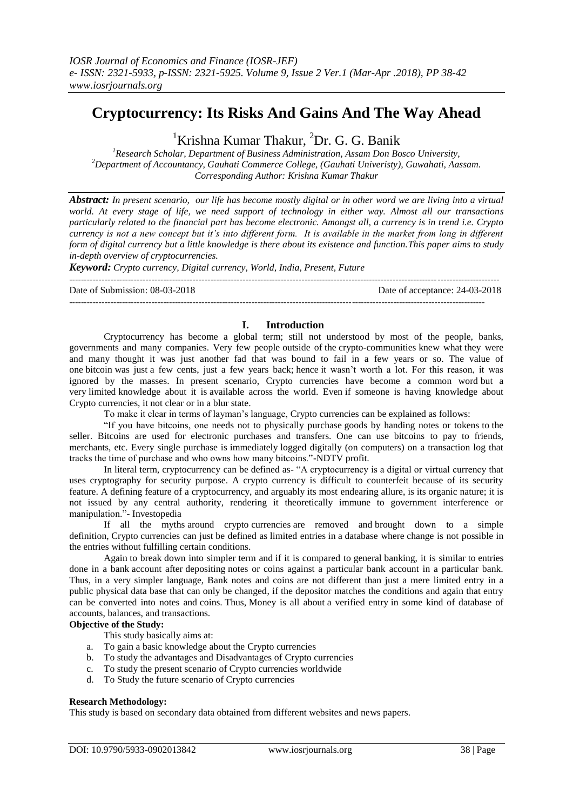# **Cryptocurrency: Its Risks And Gains And The Way Ahead**

<sup>1</sup>Krishna Kumar Thakur, <sup>2</sup>Dr. G. G. Banik

*<sup>1</sup>Research Scholar, Department of Business Administration, Assam Don Bosco University, <sup>2</sup>Department of Accountancy, Gauhati Commerce College, (Gauhati Univeristy), Guwahati, Aassam. Corresponding Author: Krishna Kumar Thakur*

*Abstract: In present scenario, our life has become mostly digital or in other word we are living into a virtual world. At every stage of life, we need support of technology in either way. Almost all our transactions particularly related to the financial part has become electronic. Amongst all, a currency is in trend i.e. Crypto currency is not a new concept but it's into different form. It is available in the market from long in different form of digital currency but a little knowledge is there about its existence and function.This paper aims to study in-depth overview of cryptocurrencies.*

*Keyword: Crypto currency, Digital currency, World, India, Present, Future* 

Date of Submission: 08-03-2018 Date of acceptance: 24-03-2018

## **I. Introduction**

--------------------------------------------------------------------------------------------------------------------------------------------------

Cryptocurrency has become a global term; still not understood by most of the people, banks, governments and many companies. Very few people outside of the crypto-communities knew what they were and many thought it was just another fad that was bound to fail in a few years or so. The value of one bitcoin was just a few cents, just a few years back; hence it wasn't worth a lot. For this reason, it was ignored by the masses. In present scenario, Crypto currencies have become a common word but a very limited knowledge about it is available across the world. Even if someone is having knowledge about Crypto currencies, it not clear or in a blur state.

To make it clear in terms of layman's language, Crypto currencies can be explained as follows:

"If you have bitcoins, one needs not to physically purchase goods by handing notes or tokens to the seller. Bitcoins are used for electronic purchases and transfers. One can use bitcoins to pay to friends, merchants, etc. Every single purchase is immediately logged digitally (on computers) on a transaction log that tracks the time of purchase and who owns how many bitcoins."-NDTV profit.

In literal term, cryptocurrency can be defined as- "A cryptocurrency is a digital or virtual currency that uses cryptography for security purpose. A crypto currency is difficult to counterfeit because of its security feature. A defining feature of a cryptocurrency, and arguably its most endearing allure, is its organic nature; it is not issued by any central authority, rendering it theoretically immune to government interference or manipulation."- Investopedia

If all the myths around crypto currencies are removed and brought down to a simple definition, Crypto currencies can just be defined as limited entries in a database where change is not possible in the entries without fulfilling certain conditions.

Again to break down into simpler term and if it is compared to general banking, it is similar to entries done in a bank account after depositing notes or coins against a particular bank account in a particular bank. Thus, in a very simpler language, Bank notes and coins are not different than just a mere limited entry in a public physical data base that can only be changed, if the depositor matches the conditions and again that entry can be converted into notes and coins. Thus, Money is all about a verified entry in some kind of database of accounts, balances, and transactions.

## **Objective of the Study:**

This study basically aims at:

- a. To gain a basic knowledge about the Crypto currencies
- b. To study the advantages and Disadvantages of Crypto currencies
- c. To study the present scenario of Crypto currencies worldwide
- d. To Study the future scenario of Crypto currencies

## **Research Methodology:**

This study is based on secondary data obtained from different websites and news papers.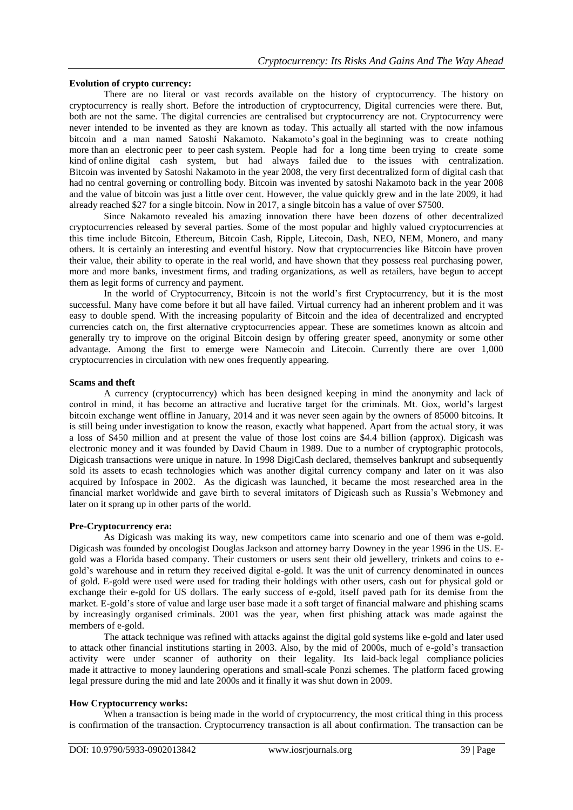## **Evolution of crypto currency:**

There are no literal or vast records available on the history of cryptocurrency. The history on cryptocurrency is really short. Before the introduction of cryptocurrency, Digital currencies were there. But, both are not the same. The digital currencies are centralised but cryptocurrency are not. Cryptocurrency were never intended to be invented as they are known as today. This actually all started with the now infamous bitcoin and a man named Satoshi Nakamoto. Nakamoto's goal in the beginning was to create nothing more than an electronic peer to peer cash system. People had for a long time been trying to create some kind of online digital cash system, but had always failed due to the issues with centralization. Bitcoin was invented by Satoshi Nakamoto in the year 2008, the very first decentralized form of digital cash that had no central governing or controlling body. Bitcoin was invented by satoshi Nakamoto back in the year 2008 and the value of bitcoin was just a little over cent. However, the value quickly grew and in the late 2009, it had already reached \$27 for a single bitcoin. Now in 2017, a single bitcoin has a value of over \$7500.

Since Nakamoto revealed his amazing innovation there have been dozens of other decentralized cryptocurrencies released by several parties. Some of the most popular and highly valued cryptocurrencies at this time include Bitcoin, Ethereum, Bitcoin Cash, Ripple, Litecoin, Dash, NEO, NEM, Monero, and many others. It is certainly an interesting and eventful history. Now that cryptocurrencies like Bitcoin have proven their value, their ability to operate in the real world, and have shown that they possess real purchasing power, more and more banks, investment firms, and trading organizations, as well as retailers, have begun to accept them as legit forms of currency and payment.

In the world of Cryptocurrency, Bitcoin is not the world's first Cryptocurrency, but it is the most successful. Many have come before it but all have failed. Virtual currency had an inherent problem and it was easy to double spend. With the increasing popularity of Bitcoin and the idea of decentralized and encrypted currencies catch on, the first alternative cryptocurrencies appear. These are sometimes known as altcoin and generally try to improve on the original Bitcoin design by offering greater speed, anonymity or some other advantage. Among the first to emerge were Namecoin and Litecoin. Currently there are over 1,000 cryptocurrencies in circulation with new ones frequently appearing.

#### **Scams and theft**

A currency (cryptocurrency) which has been designed keeping in mind the anonymity and lack of control in mind, it has become an attractive and lucrative target for the criminals. Mt. Gox, world's largest bitcoin exchange went offline in January, 2014 and it was never seen again by the owners of 85000 bitcoins. It is still being under investigation to know the reason, exactly what happened. Apart from the actual story, it was a loss of \$450 million and at present the value of those lost coins are \$4.4 billion (approx). Digicash was electronic money and it was founded by David Chaum in 1989. Due to a number of cryptographic protocols, Digicash transactions were unique in nature. In 1998 DigiCash declared, themselves bankrupt and subsequently sold its assets to ecash technologies which was another digital currency company and later on it was also acquired by Infospace in 2002. As the digicash was launched, it became the most researched area in the financial market worldwide and gave birth to several imitators of Digicash such as Russia's Webmoney and later on it sprang up in other parts of the world.

## **Pre-Cryptocurrency era:**

As Digicash was making its way, new competitors came into scenario and one of them was e-gold. Digicash was founded by oncologist Douglas Jackson and attorney barry Downey in the year 1996 in the US. Egold was a Florida based company. Their customers or users sent their old jewellery, trinkets and coins to egold's warehouse and in return they received digital e-gold. It was the unit of currency denominated in ounces of gold. E-gold were used were used for trading their holdings with other users, cash out for physical gold or exchange their e-gold for US dollars. The early success of e-gold, itself paved path for its demise from the market. E-gold's store of value and large user base made it a soft target of financial malware and phishing scams by increasingly organised criminals. 2001 was the year, when first phishing attack was made against the members of e-gold.

The attack technique was refined with attacks against the digital gold systems like e-gold and later used to attack other financial institutions starting in 2003. Also, by the mid of 2000s, much of e-gold's transaction activity were under scanner of authority on their legality. Its laid-back legal compliance policies made it attractive to money laundering operations and small-scale Ponzi schemes. The platform faced growing legal pressure during the mid and late 2000s and it finally it was shut down in 2009.

## **How Cryptocurrency works:**

When a transaction is being made in the world of cryptocurrency, the most critical thing in this process is confirmation of the transaction. Cryptocurrency transaction is all about confirmation. The transaction can be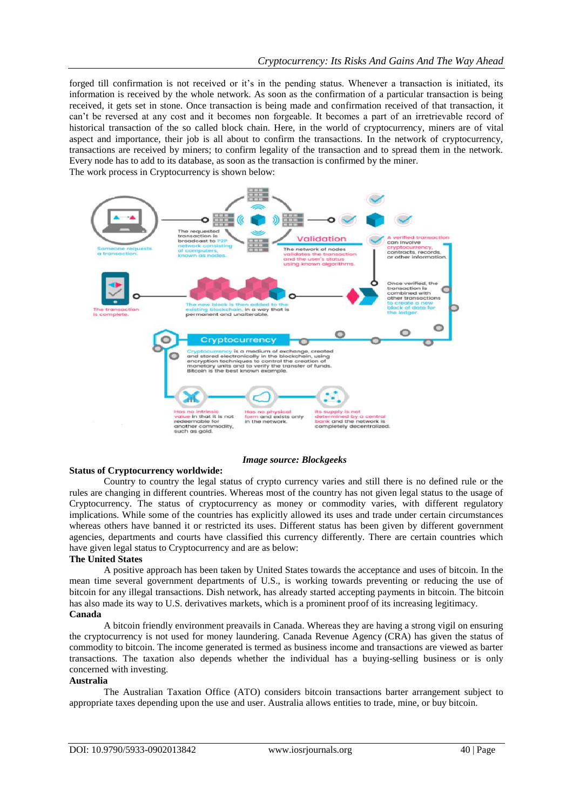forged till confirmation is not received or it's in the pending status. Whenever a transaction is initiated, its information is received by the whole network. As soon as the confirmation of a particular transaction is being received, it gets set in stone. Once transaction is being made and confirmation received of that transaction, it can't be reversed at any cost and it becomes non forgeable. It becomes a part of an irretrievable record of historical transaction of the so called block chain. Here, in the world of cryptocurrency, miners are of vital aspect and importance, their job is all about to confirm the transactions. In the network of cryptocurrency, transactions are received by miners; to confirm legality of the transaction and to spread them in the network. Every node has to add to its database, as soon as the transaction is confirmed by the miner. The work process in Cryptocurrency is shown below:



## *Image source: Blockgeeks*

## **Status of Cryptocurrency worldwide:**

Country to country the legal status of crypto currency varies and still there is no defined rule or the rules are changing in different countries. Whereas most of the country has not given legal status to the usage of Cryptocurrency. The status of cryptocurrency as money or commodity varies, with different regulatory implications. While some of the countries has explicitly allowed its uses and trade under certain circumstances whereas others have banned it or restricted its uses. Different status has been given by different government agencies, departments and courts have classified this currency differently. There are certain countries which have given legal status to Cryptocurrency and are as below:

#### **The United States**

A positive approach has been taken by United States towards the acceptance and uses of bitcoin. In the mean time several government departments of U.S., is working towards preventing or reducing the use of bitcoin for any illegal transactions. Dish network, has already started accepting payments in bitcoin. The bitcoin has also made its way to U.S. derivatives markets, which is a prominent proof of its increasing legitimacy. **Canada**

A bitcoin friendly environment preavails in Canada. Whereas they are having a strong vigil on ensuring the cryptocurrency is not used for money laundering. Canada Revenue Agency (CRA) has given the status of commodity to bitcoin. The income generated is termed as business income and transactions are viewed as barter transactions. The taxation also depends whether the individual has a buying-selling business or is only concerned with investing.

## **Australia**

The Australian Taxation Office (ATO) considers bitcoin transactions barter arrangement subject to appropriate taxes depending upon the use and user. Australia allows entities to trade, mine, or buy bitcoin.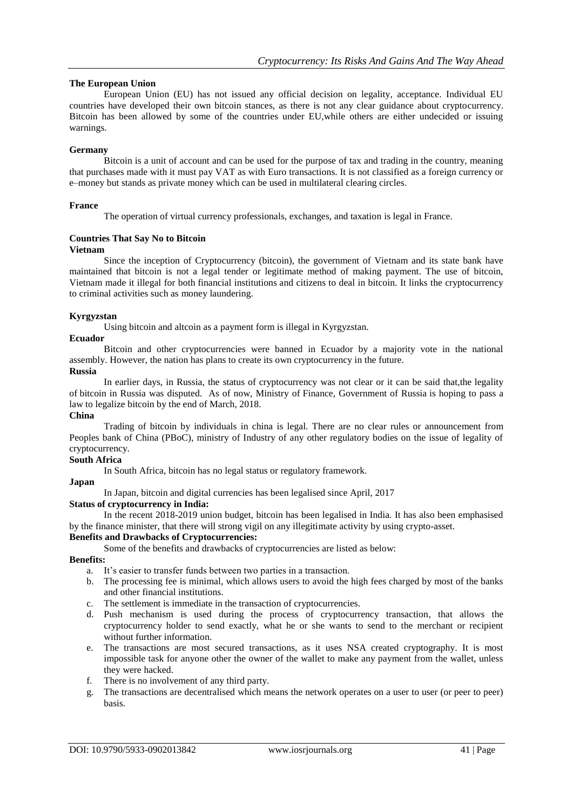## **The European Union**

European Union (EU) has not issued any official decision on legality, acceptance. Individual EU countries have developed their own bitcoin stances, as there is not any clear guidance about cryptocurrency. Bitcoin has been allowed by some of the countries under EU,while others are either undecided or issuing warnings.

## **Germany**

Bitcoin is a unit of account and can be used for the purpose of tax and trading in the country, meaning that purchases made with it must pay VAT as with Euro transactions. It is not classified as a foreign currency or e–money but stands as private money which can be used in multilateral clearing circles.

## **France**

The operation of virtual currency professionals, exchanges, and taxation is legal in France.

## **Countries That Say No to Bitcoin**

#### **Vietnam**

Since the inception of Cryptocurrency (bitcoin), the government of Vietnam and its state bank have maintained that bitcoin is not a legal tender or legitimate method of making payment. The use of bitcoin, Vietnam made it illegal for both financial institutions and citizens to deal in bitcoin. It links the cryptocurrency to criminal activities such as money laundering.

## **Kyrgyzstan**

Using bitcoin and altcoin as a payment form is illegal in Kyrgyzstan.

## **Ecuador**

Bitcoin and other cryptocurrencies were banned in Ecuador by a majority vote in the national assembly. However, the nation has plans to create its own cryptocurrency in the future.

#### **Russia**

In earlier days, in Russia, the status of cryptocurrency was not clear or it can be said that,the legality of bitcoin in Russia was disputed. As of now, Ministry of Finance, Government of Russia is hoping to pass a law to legalize bitcoin by the end of March, 2018.

## **China**

Trading of bitcoin by individuals in china is legal. There are no clear rules or announcement from Peoples bank of China (PBoC), ministry of Industry of any other regulatory bodies on the issue of legality of cryptocurrency.

## **South Africa**

In South Africa, bitcoin has no legal status or regulatory framework.

## **Japan**

In Japan, bitcoin and digital currencies has been legalised since April, 2017

## **Status of cryptocurrency in India:**

In the recent 2018-2019 union budget, bitcoin has been legalised in India. It has also been emphasised by the finance minister, that there will strong vigil on any illegitimate activity by using crypto-asset.

## **Benefits and Drawbacks of Cryptocurrencies:**

Some of the benefits and drawbacks of cryptocurrencies are listed as below:

#### **Benefits:**

a. It's easier to transfer funds between two parties in a transaction.

- b. The processing fee is minimal, which allows users to avoid the high fees charged by most of the banks and other financial institutions.
- c. The settlement is immediate in the transaction of cryptocurrencies.
- d. Push mechanism is used during the process of cryptocurrency transaction, that allows the cryptocurrency holder to send exactly, what he or she wants to send to the merchant or recipient without further information.
- e. The transactions are most secured transactions, as it uses NSA created cryptography. It is most impossible task for anyone other the owner of the wallet to make any payment from the wallet, unless they were hacked.
- f. There is no involvement of any third party.
- g. The transactions are decentralised which means the network operates on a user to user (or peer to peer) basis.